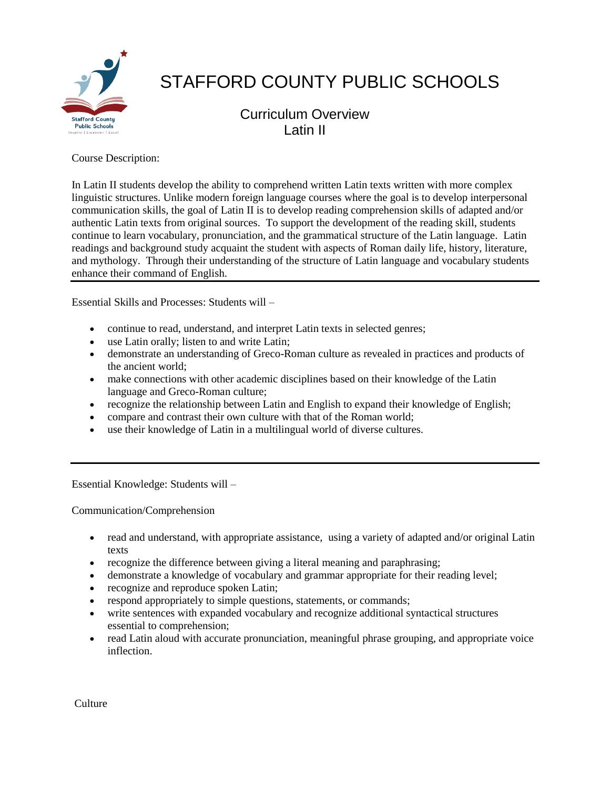

# STAFFORD COUNTY PUBLIC SCHOOLS

Curriculum Overview Latin II

Course Description:

In Latin II students develop the ability to comprehend written Latin texts written with more complex linguistic structures. Unlike modern foreign language courses where the goal is to develop interpersonal communication skills, the goal of Latin II is to develop reading comprehension skills of adapted and/or authentic Latin texts from original sources. To support the development of the reading skill, students continue to learn vocabulary, pronunciation, and the grammatical structure of the Latin language. Latin readings and background study acquaint the student with aspects of Roman daily life, history, literature, and mythology. Through their understanding of the structure of Latin language and vocabulary students enhance their command of English.

Essential Skills and Processes: Students will –

- continue to read, understand, and interpret Latin texts in selected genres;
- use Latin orally; listen to and write Latin;
- demonstrate an understanding of Greco-Roman culture as revealed in practices and products of the ancient world;
- make connections with other academic disciplines based on their knowledge of the Latin language and Greco-Roman culture;
- recognize the relationship between Latin and English to expand their knowledge of English;
- compare and contrast their own culture with that of the Roman world;
- use their knowledge of Latin in a multilingual world of diverse cultures.

Essential Knowledge: Students will –

Communication/Comprehension

- read and understand, with appropriate assistance, using a variety of adapted and/or original Latin texts
- recognize the difference between giving a literal meaning and paraphrasing;
- demonstrate a knowledge of vocabulary and grammar appropriate for their reading level;
- recognize and reproduce spoken Latin;
- respond appropriately to simple questions, statements, or commands;
- write sentences with expanded vocabulary and recognize additional syntactical structures essential to comprehension;
- read Latin aloud with accurate pronunciation, meaningful phrase grouping, and appropriate voice inflection.

Culture